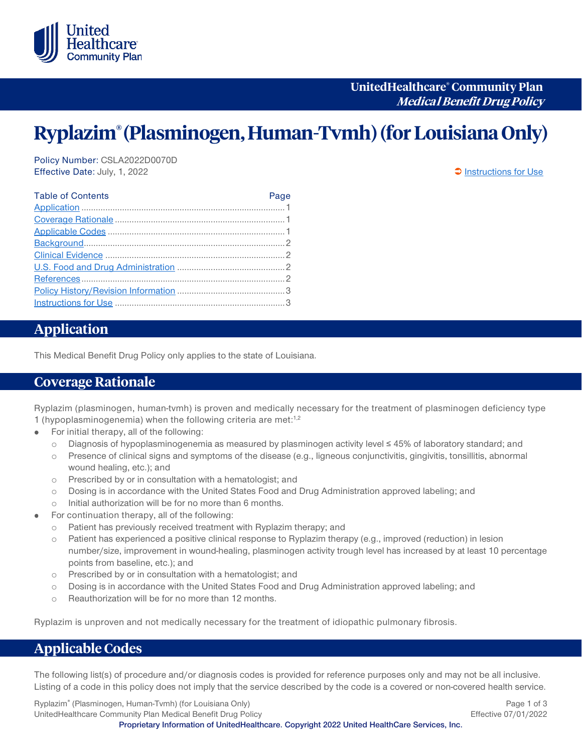

**UnitedHealthcare® Community Plan Medical Benefit Drug Policy**

# **Ryplazim® (Plasminogen, Human-Tvmh) (for LouisianaOnly)**

Policy Number: CSLA2022D0070D Effective Date: July, 1, 2022 **[Instructions for Use](#page-2-0)** 

| <b>Table of Contents</b> | Page |
|--------------------------|------|
|                          |      |
|                          |      |
|                          |      |
|                          |      |
|                          |      |
|                          |      |
|                          |      |
|                          |      |
|                          |      |
|                          |      |

## <span id="page-0-0"></span>**Application**

This Medical Benefit Drug Policy only applies to the state of Louisiana.

#### <span id="page-0-1"></span>**Coverage Rationale**

Ryplazim (plasminogen, human-tvmh) is proven and medically necessary for the treatment of plasminogen deficiency type 1 (hypoplasminogenemia) when the following criteria are met:<sup>1,2</sup>

- For initial therapy, all of the following:  $\bullet$ 
	- o Diagnosis of hypoplasminogenemia as measured by plasminogen activity level ≤ 45% of laboratory standard; and
	- o Presence of clinical signs and symptoms of the disease (e.g., ligneous conjunctivitis, gingivitis, tonsillitis, abnormal wound healing, etc.); and
	- o Prescribed by or in consultation with a hematologist; and
	- o Dosing is in accordance with the United States Food and Drug Administration approved labeling; and
	- o Initial authorization will be for no more than 6 months.
- For continuation therapy, all of the following:
	- o Patient has previously received treatment with Ryplazim therapy; and
	- o Patient has experienced a positive clinical response to Ryplazim therapy (e.g., improved (reduction) in lesion number/size, improvement in wound-healing, plasminogen activity trough level has increased by at least 10 percentage points from baseline, etc.); and
	- o Prescribed by or in consultation with a hematologist; and
	- o Dosing is in accordance with the United States Food and Drug Administration approved labeling; and
	- o Reauthorization will be for no more than 12 months.

Ryplazim is unproven and not medically necessary for the treatment of idiopathic pulmonary fibrosis.

## <span id="page-0-2"></span>**Applicable Codes**

The following list(s) of procedure and/or diagnosis codes is provided for reference purposes only and may not be all inclusive. Listing of a code in this policy does not imply that the service described by the code is a covered or non-covered health service.

Ryplazim® (Plasminogen, Human-Tvmh) (for Louisiana Only) **Page 1 of 3** and 2011 1 and 2012 1 and 2014 UnitedHealthcare Community Plan Medical Benefit Drug Policy **Effective 07/01/2022** Effective 07/01/2022

**Proprietary Information of UnitedHealthcare. Copyright 2022 United HealthCare Services, Inc.**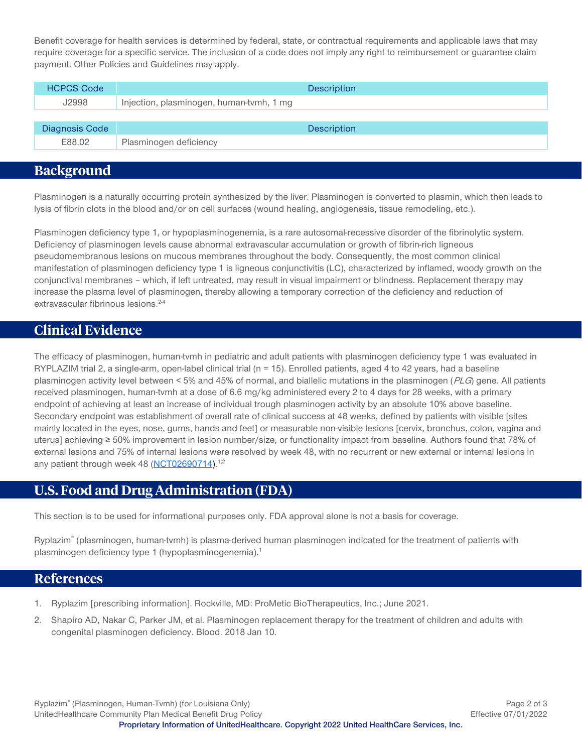Benefit coverage for health services is determined by federal, state, or contractual requirements and applicable laws that may require coverage for a specific service. The inclusion of a code does not imply any right to reimbursement or guarantee claim payment. Other Policies and Guidelines may apply.

| <b>HCPCS Code</b>     | <b>Description</b>                       |
|-----------------------|------------------------------------------|
| J2998                 | Injection, plasminogen, human-tymh, 1 mg |
|                       |                                          |
| <b>Diagnosis Code</b> | <b>Description</b>                       |
| E88.02                | Plasminogen deficiency                   |

## <span id="page-1-0"></span>**Background**

Plasminogen is a naturally occurring protein synthesized by the liver. Plasminogen is converted to plasmin, which then leads to lysis of fibrin clots in the blood and/or on cell surfaces (wound healing, angiogenesis, tissue remodeling, etc.).

Plasminogen deficiency type 1, or hypoplasminogenemia, is a rare autosomal-recessive disorder of the fibrinolytic system. Deficiency of plasminogen levels cause abnormal extravascular accumulation or growth of fibrin-rich ligneous pseudomembranous lesions on mucous membranes throughout the body. Consequently, the most common clinical manifestation of plasminogen deficiency type 1 is ligneous conjunctivitis (LC), characterized by inflamed, woody growth on the conjunctival membranes – which, if left untreated, may result in visual impairment or blindness. Replacement therapy may increase the plasma level of plasminogen, thereby allowing a temporary correction of the deficiency and reduction of extravascular fibrinous lesions.<sup>2-4</sup>

## <span id="page-1-1"></span>**Clinical Evidence**

The efficacy of plasminogen, human-tvmh in pediatric and adult patients with plasminogen deficiency type 1 was evaluated in RYPLAZIM trial 2, a single-arm, open-label clinical trial ( $n = 15$ ). Enrolled patients, aged 4 to 42 years, had a baseline plasminogen activity level between < 5% and 45% of normal, and biallelic mutations in the plasminogen (PLG) gene. All patients received plasminogen, human-tvmh at a dose of 6.6 mg/kg administered every 2 to 4 days for 28 weeks, with a primary endpoint of achieving at least an increase of individual trough plasminogen activity by an absolute 10% above baseline. Secondary endpoint was establishment of overall rate of clinical success at 48 weeks, defined by patients with visible [sites mainly located in the eyes, nose, gums, hands and feet] or measurable non-visible lesions [cervix, bronchus, colon, vagina and uterus] achieving ≥ 50% improvement in lesion number/size, or functionality impact from baseline. Authors found that 78% of external lesions and 75% of internal lesions were resolved by week 48, with no recurrent or new external or internal lesions in any patient through week 48 [\(NCT02690714\)](https://clinicaltrials.gov/ct2/show/NCT02690714).<sup>1,2</sup>

# <span id="page-1-2"></span>**U.S. Food and Drug Administration (FDA)**

This section is to be used for informational purposes only. FDA approval alone is not a basis for coverage.

Ryplazim® (plasminogen, human-tvmh) is plasma-derived human plasminogen indicated for the treatment of patients with plasminogen deficiency type 1 (hypoplasminogenemia).<sup>1</sup>

#### <span id="page-1-3"></span>**References**

- 1. Ryplazim [prescribing information]. Rockville, MD: ProMetic BioTherapeutics, Inc.; June 2021.
- 2. Shapiro AD, Nakar C, Parker JM, et al. Plasminogen replacement therapy for the treatment of children and adults with congenital plasminogen deficiency. Blood. 2018 Jan 10.